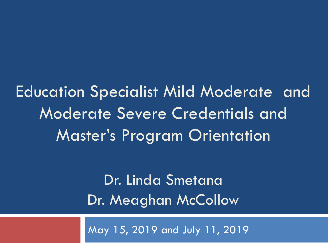Education Specialist Mild Moderate and Moderate Severe Credentials and Master's Program Orientation

> Dr. Linda Smetana Dr. Meaghan McCollow

May 15, 2019 and July 11, 2019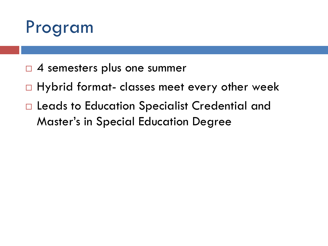

- $\Box$  4 semesters plus one summer
- $\Box$  Hybrid format- classes meet every other week
- □ Leads to Education Specialist Credential and Master's in Special Education Degree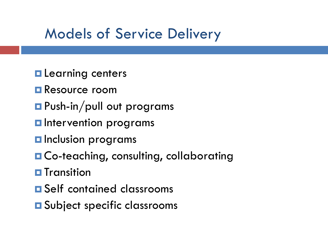### Models of Service Delivery

- **Learning centers**
- **Resource room**
- **Push-in/pull out programs**
- **<u>Elatervention</u>** programs
- **O** Inclusion programs
- **O** Co-teaching, consulting, collaborating
- $\blacksquare$  Transition
- **E** Self contained classrooms
- **E** Subject specific classrooms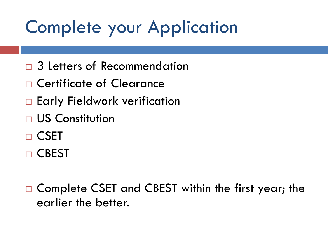# Complete your Application

- 3 Letters of Recommendation
- □ Certificate of Clearance
- □ Early Fieldwork verification
- US Constitution
- □ CSET
- □ CBEST

□ Complete CSET and CBEST within the first year; the earlier the better.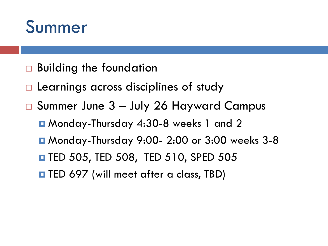

- □ Building the foundation
- $\Box$  Learnings across disciplines of study
- Summer June 3 July 26 Hayward Campus
	- Monday-Thursday 4:30-8 weeks 1 and 2
	- Monday-Thursday 9:00- 2:00 or 3:00 weeks 3-8
	- $\blacksquare$  **TED 505, TED 508, TED 510, SPED 505**
	- **THED 697 (will meet after a class, TBD)**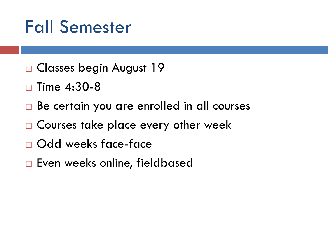# Fall Semester

- □ Classes begin August 19
- $\square$  Time 4:30-8
- □ Be certain you are enrolled in all courses
- □ Courses take place every other week
- Odd weeks face-face
- □ Even weeks online, fieldbased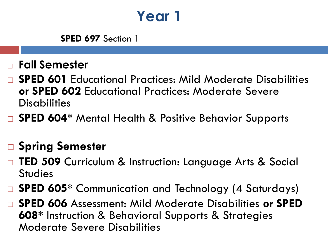## **Year 1**

**SPED 697** Section 1

- **Fall Semester**
- **SPED 601** Educational Practices: Mild Moderate Disabilities **or SPED 602** Educational Practices: Moderate Severe **Disabilities**
- □ SPED 604<sup>\*</sup> Mental Health & Positive Behavior Supports

#### **Spring Semester**

- **TED 509** Curriculum & Instruction: Language Arts & Social **Studies**
- □ SPED 605<sup>\*</sup> Communication and Technology (4 Saturdays)
- **SPED 606** Assessment: Mild Moderate Disabilities **or SPED 608\*** Instruction & Behavioral Supports & Strategies Moderate Severe Disabilities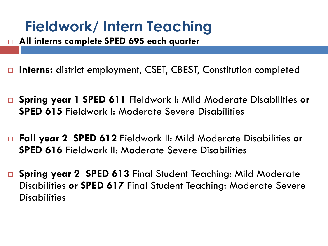## **Fieldwork/ Intern Teaching**

- **All interns complete SPED 695 each quarter**
- □ Interns: district employment, CSET, CBEST, Constitution completed
- **Spring year 1 SPED 611** Fieldwork I: Mild Moderate Disabilities **or SPED 615** Fieldwork I: Moderate Severe Disabilities
- **Fall year 2 SPED 612** Fieldwork II: Mild Moderate Disabilities **or SPED 616** Fieldwork II: Moderate Severe Disabilities
- **Spring year 2 SPED 613** Final Student Teaching: Mild Moderate Disabilities **or SPED 617** Final Student Teaching: Moderate Severe **Disabilities**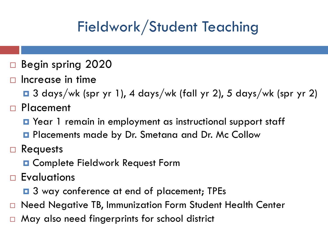# Fieldwork/Student Teaching

- □ Begin spring 2020
- Increase in time

3 days/wk (spr yr 1), 4 days/wk (fall yr 2), 5 days/wk (spr yr 2)

- □ Placement
	- **Q** Year 1 remain in employment as instructional support staff
	- **Placements made by Dr. Smetana and Dr. Mc Collow**
- □ Requests
	- **D** Complete Fieldwork Request Form
- □ Evaluations
	- **□** 3 way conference at end of placement; TPEs
- □ Need Negative TB, Immunization Form Student Health Center
- □ May also need fingerprints for school district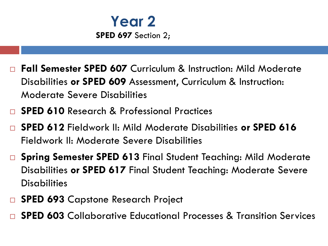

- **Fall Semester SPED 607** Curriculum & Instruction: Mild Moderate Disabilities **or SPED 609** Assessment, Curriculum & Instruction: Moderate Severe Disabilities
- **SPED 610** Research & Professional Practices
- **SPED 612** Fieldwork II: Mild Moderate Disabilities **or SPED 616**  Fieldwork II: Moderate Severe Disabilities
- **Spring Semester SPED 613** Final Student Teaching: Mild Moderate Disabilities **or SPED 617** Final Student Teaching: Moderate Severe **Disabilities**
- **SPED 693** Capstone Research Project
- **SPED 603** Collaborative Educational Processes & Transition Services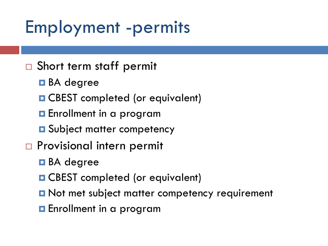# Employment -permits

- □ Short term staff permit
	- **□** BA degree
	- **O** CBEST completed (or equivalent)
	- **E** Enrollment in a program
	- **O** Subject matter competency
- □ Provisional intern permit
	- **□** BA degree
	- **□ CBEST** completed (or equivalent)
	- **D** Not met subject matter competency requirement
	- **E**nrollment in a program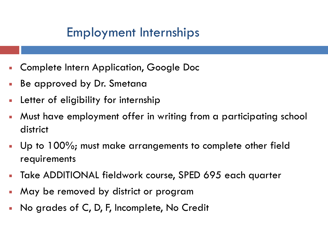#### Employment Internships

- Complete Intern Application, Google Doc
- Be approved by Dr. Smetana
- Letter of eligibility for internship
- Must have employment offer in writing from a participating school district
- Up to 100%; must make arrangements to complete other field requirements
- Take ADDITIONAL fieldwork course, SPED 695 each quarter
- May be removed by district or program
- No grades of C, D, F, Incomplete, No Credit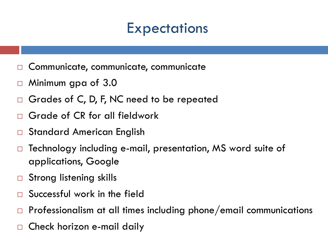### **Expectations**

- Communicate, communicate, communicate
- Minimum gpa of 3.0
- Grades of C, D, F, NC need to be repeated
- Grade of CR for all fieldwork
- Standard American English
- Technology including e-mail, presentation, MS word suite of applications, Google
- □ Strong listening skills
- Successful work in the field
- Professionalism at all times including phone/email communications
- Check horizon e-mail daily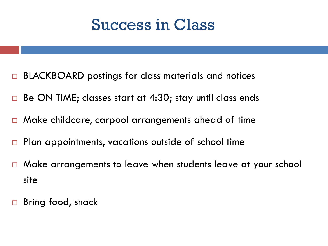## Success in Class

- BLACKBOARD postings for class materials and notices
- Be ON TIME; classes start at 4:30; stay until class ends
- Make childcare, carpool arrangements ahead of time
- $\Box$  Plan appointments, vacations outside of school time
- Make arrangements to leave when students leave at your school site
- Bring food, snack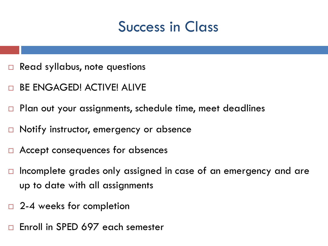### Success in Class

- Read syllabus, note questions
- BE ENGAGED! ACTIVE! ALIVE
- Plan out your assignments, schedule time, meet deadlines
- □ Notify instructor, emergency or absence
- Accept consequences for absences
- Incomplete grades only assigned in case of an emergency and are up to date with all assignments
- □ 2-4 weeks for completion
- $\Box$  Enroll in SPED 697 each semester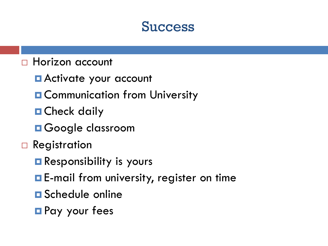#### **Success**

#### □ Horizon account

- **E** Activate your account
- **O Communication from University**
- **D** Check daily
- **OGOOGLE CLASSFOOM**
- □ Registration
	- **Responsibility is yours**
	- **E**-mail from university, register on time
	- **O** Schedule online
	- **Pay your fees**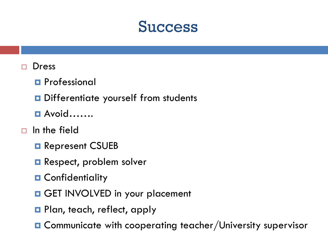#### **Success**

#### Dress

- **Professional**
- D Differentiate yourself from students
- Avoid…….

#### $\Box$  In the field

- **Represent CSUEB**
- **Respect, problem solver**
- **n** Confidentiality
- GET INVOLVED in your placement
- **Plan, teach, reflect, apply**
- **□** Communicate with cooperating teacher/University supervisor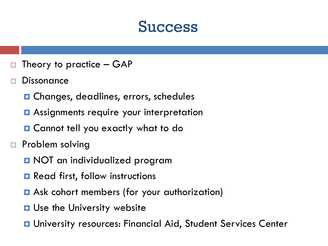#### **Success**

- $\Box$  Theory to practice GAP
- **Dissonance** 
	- **□ Changes, deadlines, errors, schedules**
	- **□** Assignments require your interpretation
	- Cannot tell you exactly what to do
- $\Box$  Problem solving
	- **D** NOT an individualized program
	- **□** Read first, follow instructions
	- **□** Ask cohort members (for your authorization)
	- **□ Use the University website**
	- **□** University resources: Financial Aid, Student Services Center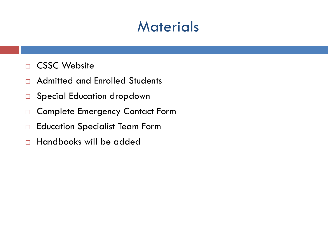#### **Materials**

- **D** CSSC Website
- □ Admitted and Enrolled Students
- □ Special Education dropdown
- □ Complete Emergency Contact Form
- □ Education Specialist Team Form
- $\Box$  Handbooks will be added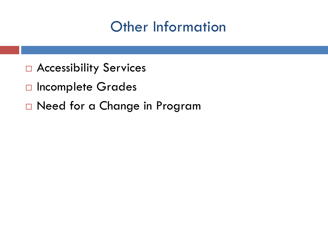### Other Information

- □ Accessibility Services
- □ Incomplete Grades
- □ Need for a Change in Program